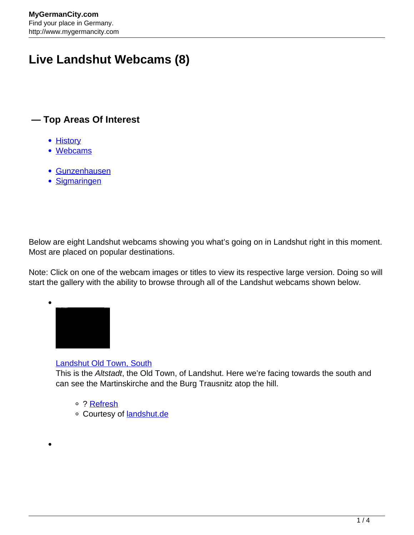# **Live Landshut Webcams (8)**

## **— Top Areas Of Interest**

- **[History](http://www.mygermancity.com/leipzig-history)**
- [Webcams](http://www.mygermancity.com/neustadt-holstein-webcams)
- [Gunzenhausen](http://www.mygermancity.com/gunzenhausen)
- [Sigmaringen](http://www.mygermancity.com/sigmaringen)

Below are eight Landshut webcams showing you what's going on in Landshut right in this moment. Most are placed on popular destinations.

Note: Click on one of the webcam images or titles to view its respective large version. Doing so will start the gallery with the ability to browse through all of the Landshut webcams shown below.



#### [Landshut Old Town, South](http://www.landshut.de/fileadmin/webcam/webcam_public.jpg)

This is the Altstadt, the Old Town, of Landshut. Here we're facing towards the south and can see the Martinskirche and the Burg Trausnitz atop the hill.

- o ? [Refresh](http://www.mygermancity.com/landshut-webcams)
- o Courtesy of **landshut.de**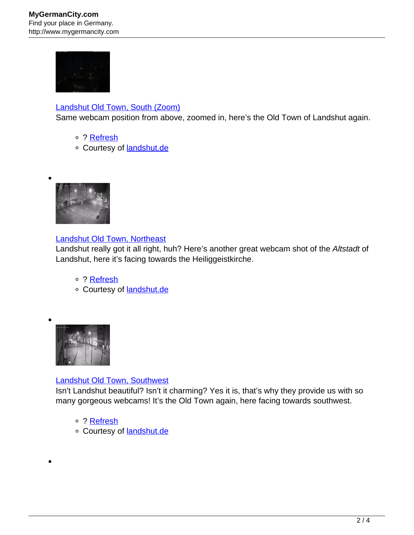

### [Landshut Old Town, South \(Zoom\)](http://www.landshut.de/uploads/pics/lalive_3lg.jpg)

Same webcam position from above, zoomed in, here's the Old Town of Landshut again.

- ? [Refresh](http://www.mygermancity.com/landshut-webcams)
- o Courtesy of [landshut.de](http://www.landshut.de/)



#### [Landshut Old Town, Northeast](http://www.landshut.de/uploads/pics/lalive_2.jpg)

Landshut really got it all right, huh? Here's another great webcam shot of the Altstadt of Landshut, here it's facing towards the Heiliggeistkirche.

- o ? [Refresh](http://www.mygermancity.com/landshut-webcams)
- o Courtesy of [landshut.de](http://www.landshut.de/)



#### [Landshut Old Town, Southwest](http://www.landshut.de/uploads/pics/lalive_1.jpg)

Isn't Landshut beautiful? Isn't it charming? Yes it is, that's why they provide us with so many gorgeous webcams! It's the Old Town again, here facing towards southwest.

- ? [Refresh](http://www.mygermancity.com/landshut-webcams)
- o Courtesy of **landshut.de**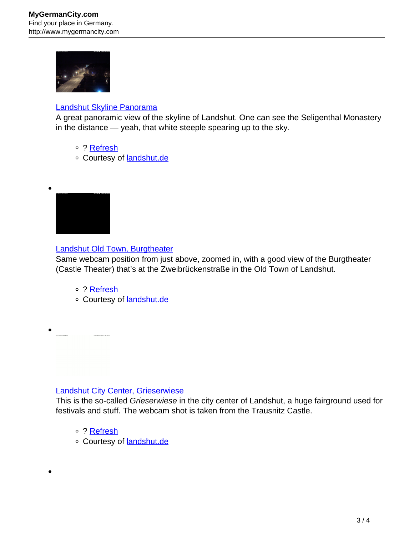

#### [Landshut Skyline Panorama](http://www.landshut.de/uploads/pics/lalive_4rg.jpg)

A great panoramic view of the skyline of Landshut. One can see the Seligenthal Monastery in the distance — yeah, that white steeple spearing up to the sky.

- ? [Refresh](http://www.mygermancity.com/landshut-webcams)
- o Courtesy of [landshut.de](http://www.landshut.de/)



#### [Landshut Old Town, Burgtheater](http://www.landshut.de/uploads/pics/lalive_4lg.jpg)

Same webcam position from just above, zoomed in, with a good view of the Burgtheater (Castle Theater) that's at the Zweibrückenstraße in the Old Town of Landshut.

- ? [Refresh](http://www.mygermancity.com/landshut-webcams)
- o Courtesy of [landshut.de](http://www.landshut.de/)

#### [Landshut City Center, Grieserwiese](http://www.landshut.de/uploads/pics/lalive_5rg.jpg)

This is the so-called Grieserwiese in the city center of Landshut, a huge fairground used for festivals and stuff. The webcam shot is taken from the Trausnitz Castle.

- o ? [Refresh](http://www.mygermancity.com/landshut-webcams)
- o Courtesy of **landshut.de**